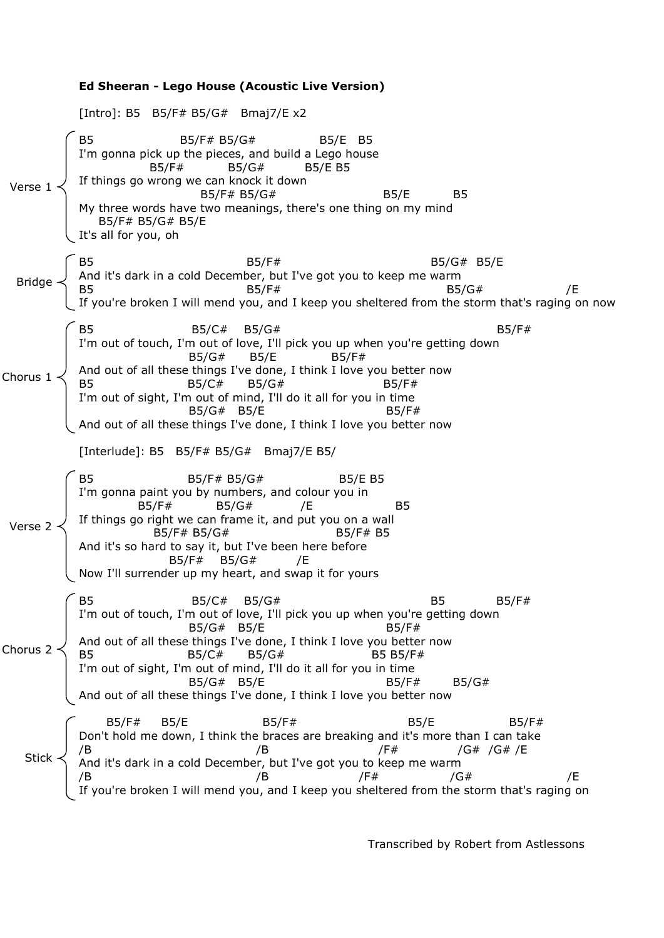**Ed Sheeran - Lego House (Acoustic Live Version)** [Intro]: B5 B5/F# B5/G# Bmaj7/E x2 B5 B5/F# B5/G# B5/E B5 I'm gonna pick up the pieces, and build a Lego house B5/F# B5/G# B5/E B5 If things go wrong we can knock it down B5/F# B5/G# B5/E B5 My three words have two meanings, there's one thing on my mind B5/F# B5/G# B5/E It's all for you, oh B5/F# B5/G# B5/E And it's dark in a cold December, but I've got you to keep me warm B5 B5/G#  $B5/F$ #  $B5/G$ #  $B5/G$ #  $F$ If you're broken I will mend you, and I keep you sheltered from the storm that's raging on now  $B5/C\#$   $B5/G\#$  B5/G# I'm out of touch, I'm out of love, I'll pick you up when you're getting down B5/G# B5/E B5/F# And out of all these things I've done, I think I love you better now B5 B5/C# B5/G# B5/F# I'm out of sight, I'm out of mind, I'll do it all for you in time  $B5/G#$   $B5/F$ And out of all these things I've done, I think I love you better now [Interlude]: B5 B5/F# B5/G# Bmaj7/E B5/ B5 B5/F# B5/G# B5/E B5 I'm gonna paint you by numbers, and colour you in B5/F# B5/G# /E B5 If things go right we can frame it, and put you on a wall B5/F# B5/G# B5/F# B5 And it's so hard to say it, but I've been here before B5/F# B5/G# /E Now I'll surrender up my heart, and swap it for yours B5/C# B5/G# B5 B5/F# I'm out of touch, I'm out of love, I'll pick you up when you're getting down  $B5/G# B5/E$  B5/F# And out of all these things I've done, I think I love you better now B5 B5/C# B5/G# B5 B5/F# I'm out of sight, I'm out of mind, I'll do it all for you in time B5/G# B5/E B5/F# B5/G# And out of all these things I've done, I think I love you better now B5/F# B5/E B5/F# B5/E B5/F# Don't hold me down, I think the braces are breaking and it's more than I can take /B /B /F# /G# /G# /E And it's dark in a cold December, but I've got you to keep me warm /B /B /F# /G# /E ou're broken I will mend you, and I keep you sheltered from the storm that's raging on Verse 1 Chorus  $1 \prec$ Bridge Verse 2 Chorus 2 Stick

Transcribed by Robert from Astlessons